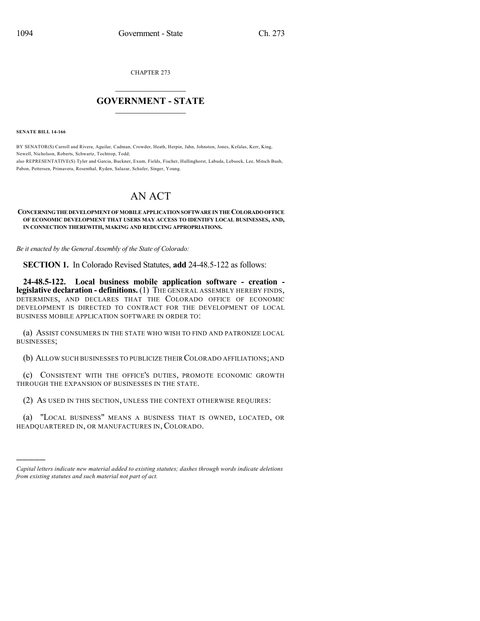CHAPTER 273

## $\mathcal{L}_\text{max}$  . The set of the set of the set of the set of the set of the set of the set of the set of the set of the set of the set of the set of the set of the set of the set of the set of the set of the set of the set **GOVERNMENT - STATE**  $\_$   $\_$

**SENATE BILL 14-166**

)))))

BY SENATOR(S) Carroll and Rivera, Aguilar, Cadman, Crowder, Heath, Herpin, Jahn, Johnston, Jones, Kefalas, Kerr, King, Newell, Nicholson, Roberts, Schwartz, Tochtrop, Todd; also REPRESENTATIVE(S) Tyler and Garcia, Buckner, Exum, Fields, Fischer, Hullinghorst, Labuda, Lebsock, Lee, Mitsch Bush, Pabon, Pettersen, Primavera, Rosenthal, Ryden, Salazar, Schafer, Singer, Young.

## AN ACT

## **CONCERNINGTHE DEVELOPMENTOFMOBILEAPPLICATIONSOFTWAREINTHECOLORADOOFFICE OF ECONOMIC DEVELOPMENT THAT USERS MAY ACCESS TO IDENTIFY LOCAL BUSINESSES, AND, IN CONNECTION THEREWITH, MAKING AND REDUCING APPROPRIATIONS.**

*Be it enacted by the General Assembly of the State of Colorado:*

**SECTION 1.** In Colorado Revised Statutes, **add** 24-48.5-122 as follows:

**24-48.5-122. Local business mobile application software - creation legislative declaration - definitions.** (1) THE GENERAL ASSEMBLY HEREBY FINDS, DETERMINES, AND DECLARES THAT THE COLORADO OFFICE OF ECONOMIC DEVELOPMENT IS DIRECTED TO CONTRACT FOR THE DEVELOPMENT OF LOCAL BUSINESS MOBILE APPLICATION SOFTWARE IN ORDER TO:

(a) ASSIST CONSUMERS IN THE STATE WHO WISH TO FIND AND PATRONIZE LOCAL BUSINESSES;

(b) ALLOW SUCH BUSINESSES TO PUBLICIZE THEIR COLORADO AFFILIATIONS;AND

(c) CONSISTENT WITH THE OFFICE'S DUTIES, PROMOTE ECONOMIC GROWTH THROUGH THE EXPANSION OF BUSINESSES IN THE STATE.

(2) AS USED IN THIS SECTION, UNLESS THE CONTEXT OTHERWISE REQUIRES:

(a) "LOCAL BUSINESS" MEANS A BUSINESS THAT IS OWNED, LOCATED, OR HEADQUARTERED IN, OR MANUFACTURES IN, COLORADO.

*Capital letters indicate new material added to existing statutes; dashes through words indicate deletions from existing statutes and such material not part of act.*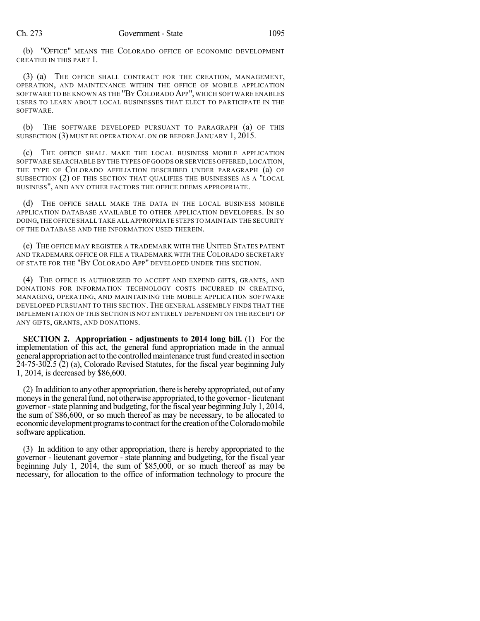(b) "OFFICE" MEANS THE COLORADO OFFICE OF ECONOMIC DEVELOPMENT CREATED IN THIS PART 1.

(3) (a) THE OFFICE SHALL CONTRACT FOR THE CREATION, MANAGEMENT, OPERATION, AND MAINTENANCE WITHIN THE OFFICE OF MOBILE APPLICATION SOFTWARE TO BE KNOWN AS THE "BY COLORADO APP", WHICH SOFTWARE ENABLES USERS TO LEARN ABOUT LOCAL BUSINESSES THAT ELECT TO PARTICIPATE IN THE SOFTWARE.

(b) THE SOFTWARE DEVELOPED PURSUANT TO PARAGRAPH (a) OF THIS SUBSECTION (3) MUST BE OPERATIONAL ON OR BEFORE JANUARY 1, 2015.

(c) THE OFFICE SHALL MAKE THE LOCAL BUSINESS MOBILE APPLICATION SOFTWARE SEARCHABLE BY THE TYPES OF GOODS OR SERVICES OFFERED,LOCATION, THE TYPE OF COLORADO AFFILIATION DESCRIBED UNDER PARAGRAPH (a) OF SUBSECTION (2) OF THIS SECTION THAT QUALIFIES THE BUSINESSES AS A "LOCAL BUSINESS", AND ANY OTHER FACTORS THE OFFICE DEEMS APPROPRIATE.

(d) THE OFFICE SHALL MAKE THE DATA IN THE LOCAL BUSINESS MOBILE APPLICATION DATABASE AVAILABLE TO OTHER APPLICATION DEVELOPERS. IN SO DOING,THE OFFICE SHALL TAKE ALL APPROPRIATE STEPS TO MAINTAIN THE SECURITY OF THE DATABASE AND THE INFORMATION USED THEREIN.

(e) THE OFFICE MAY REGISTER A TRADEMARK WITH THE UNITED STATES PATENT AND TRADEMARK OFFICE OR FILE A TRADEMARK WITH THE COLORADO SECRETARY OF STATE FOR THE "BY COLORADO APP" DEVELOPED UNDER THIS SECTION.

(4) THE OFFICE IS AUTHORIZED TO ACCEPT AND EXPEND GIFTS, GRANTS, AND DONATIONS FOR INFORMATION TECHNOLOGY COSTS INCURRED IN CREATING, MANAGING, OPERATING, AND MAINTAINING THE MOBILE APPLICATION SOFTWARE DEVELOPED PURSUANT TO THIS SECTION.THE GENERAL ASSEMBLY FINDS THAT THE IMPLEMENTATION OF THIS SECTION IS NOT ENTIRELY DEPENDENT ON THE RECEIPT OF ANY GIFTS, GRANTS, AND DONATIONS.

**SECTION 2. Appropriation - adjustments to 2014 long bill.** (1) For the implementation of this act, the general fund appropriation made in the annual general appropriation act to the controlled maintenance trust fund created in section 24-75-302.5 (2) (a), Colorado Revised Statutes, for the fiscal year beginning July 1, 2014, is decreased by \$86,600.

(2) In addition to anyother appropriation, there is herebyappropriated, out of any moneys in the general fund, not otherwise appropriated, to the governor - lieutenant governor -state planning and budgeting, for the fiscal year beginning July 1, 2014, the sum of \$86,600, or so much thereof as may be necessary, to be allocated to economic development programs to contract for the creation of the Colorado mobile software application.

(3) In addition to any other appropriation, there is hereby appropriated to the governor - lieutenant governor - state planning and budgeting, for the fiscal year beginning July 1, 2014, the sum of \$85,000, or so much thereof as may be necessary, for allocation to the office of information technology to procure the